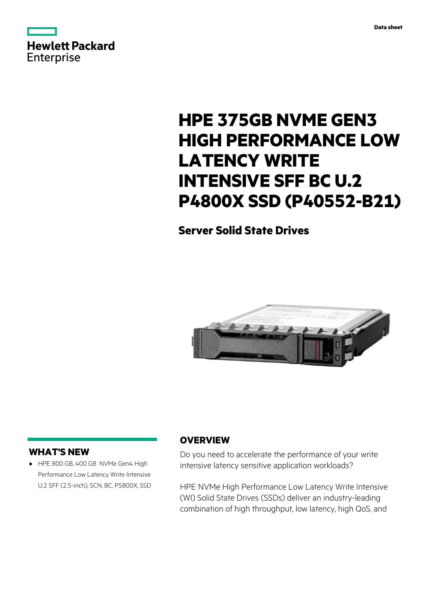



# **HPE 375GB NVME GEN3 HIGH PERFORMANCE LOW LATENCY WRITE INTENSIVE SFF BC U.2 P4800X SSD (P40552-B21)**

## **Server Solid State Drives**



### **WHAT'S NEW**

**·** HPE 800 GB, 400 GB NVMe Gen4 High Performance Low Latency Write Intensive U.2 SFF (2.5-inch), SCN, BC, P5800X, SSD

### **OVERVIEW**

Do you need to accelerate the performance of your write intensive latency sensitive application workloads?

HPE NVMe High Performance Low Latency Write Intensive (WI) Solid State Drives (SSDs) deliver an industry-leading combination of high throughput, low latency, high QoS, and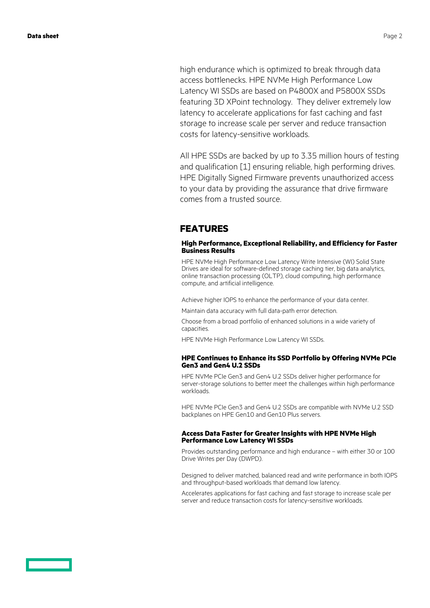high endurance which is optimized to break through data access bottlenecks. HPE NVMe High Performance Low Latency WI SSDs are based on P4800X and P5800X SSDs featuring 3D XPoint technology. They deliver extremely low latency to accelerate applications for fast caching and fast storage to increase scale per server and reduce transaction costs for latency-sensitive workloads.

All HPE SSDs are backed by up to 3.35 million hours of testing and qualification [1] ensuring reliable, high performing drives. HPE Digitally Signed Firmware prevents unauthorized access to your data by providing the assurance that drive firmware comes from a trusted source.

### **FEATURES**

#### **High Performance, Exceptional Reliability, and Efficiency for Faster Business Results**

HPE NVMe High Performance Low Latency Write Intensive (WI) Solid State Drives are ideal for software-defined storage caching tier, big data analytics, online transaction processing (OLTP), cloud computing, high performance compute, and artificial intelligence.

Achieve higher IOPS to enhance the performance of your data center.

Maintain data accuracy with full data-path error detection.

Choose from a broad portfolio of enhanced solutions in a wide variety of capacities.

HPE NVMe High Performance Low Latency WI SSDs.

#### **HPE Continues to Enhance its SSD Portfolio by Offering NVMe PCIe Gen3 and Gen4 U.2 SSDs**

HPE NVMe PCIe Gen3 and Gen4 U.2 SSDs deliver higher performance for server-storage solutions to better meet the challenges within high performance workloads.

HPE NVMe PCIe Gen3 and Gen4 U.2 SSDs are compatible with NVMe U.2 SSD backplanes on HPE Gen10 and Gen10 Plus servers.

#### **Access Data Faster for Greater Insights with HPE NVMe High Performance Low Latency WI SSDs**

Provides outstanding performance and high endurance – with either 30 or 100 Drive Writes per Day (DWPD).

Designed to deliver matched, balanced read and write performance in both IOPS and throughput-based workloads that demand low latency.

Accelerates applications for fast caching and fast storage to increase scale per server and reduce transaction costs for latency-sensitive workloads.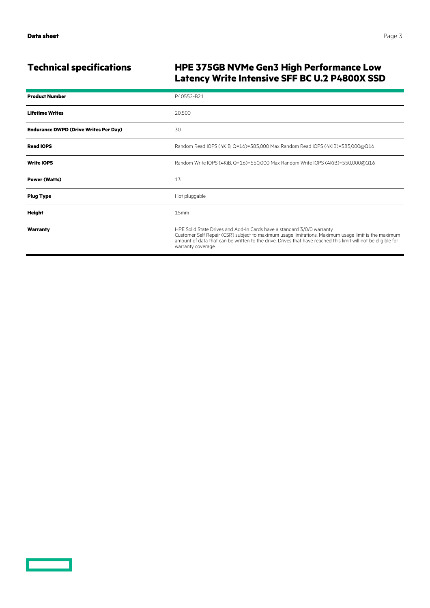### **Technical specifications HPE 375GB NVMe Gen3 High Performance Low Latency Write Intensive SFF BC U.2 P4800X SSD**

| <b>Product Number</b>                        | P40552-B21                                                                                                                                                                                                                                                                                                           |
|----------------------------------------------|----------------------------------------------------------------------------------------------------------------------------------------------------------------------------------------------------------------------------------------------------------------------------------------------------------------------|
| <b>Lifetime Writes</b>                       | 20,500                                                                                                                                                                                                                                                                                                               |
| <b>Endurance DWPD (Drive Writes Per Day)</b> | 30                                                                                                                                                                                                                                                                                                                   |
| <b>Read IOPS</b>                             | Random Read IOPS (4KiB, Q=16)=585,000 Max Random Read IOPS (4KiB)=585,000@Q16                                                                                                                                                                                                                                        |
| <b>Write IOPS</b>                            | Random Write IOPS (4KiB, Q=16)=550,000 Max Random Write IOPS (4KiB)=550,000@Q16                                                                                                                                                                                                                                      |
| <b>Power (Watts)</b>                         | 13                                                                                                                                                                                                                                                                                                                   |
| <b>Plug Type</b>                             | Hot pluggable                                                                                                                                                                                                                                                                                                        |
| <b>Height</b>                                | 15mm                                                                                                                                                                                                                                                                                                                 |
| Warranty                                     | HPE Solid State Drives and Add-In Cards have a standard 3/0/0 warranty<br>Customer Self Repair (CSR) subject to maximum usage limitations. Maximum usage limit is the maximum<br>amount of data that can be written to the drive. Drives that have reached this limit will not be eligible for<br>warranty coverage. |